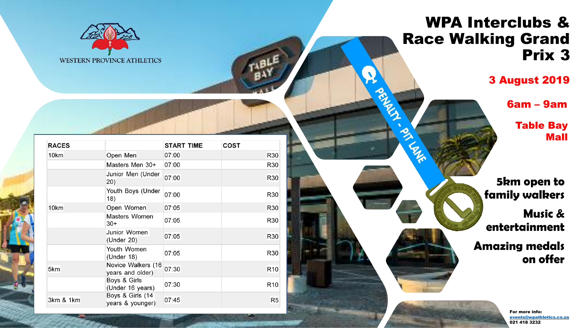

## **RACES START TIME COST**  $10km$ Open Men 07:00 R30 Masters Men 30+ R30 07:00 Junior Men (Under 07:00 R30  $20)$ Youth Boys (Under 07:00 **R30**  $|18\rangle$ 10<sub>km</sub> Open Women 07:05 R30 Masters Women 07:05 **R30**  $30+$ Junior Women 07:05 **R30** (Under 20) Youth Women 07:05 R30 (Under  $18$ ) Novice Walkers (16 07:30 5km R<sub>10</sub> years and older) Boys & Girls 07:30 R<sub>10</sub> (Under 16 years) Boys & Girls (14 3km & 1km 07:45  $R5$ years & younger)

## WPA Interclubs & Race Walking Grand Prix 3

**PALLE** 

3 August 2019

6am – 9am

Table Bay Mall

**5km open to family walkers**

**Music & entertainment**

**Amazing medals on offer**

> For more info: [events@wpathletics.co.za](mailto:events@wpathletics.co.za) 021 418 3232